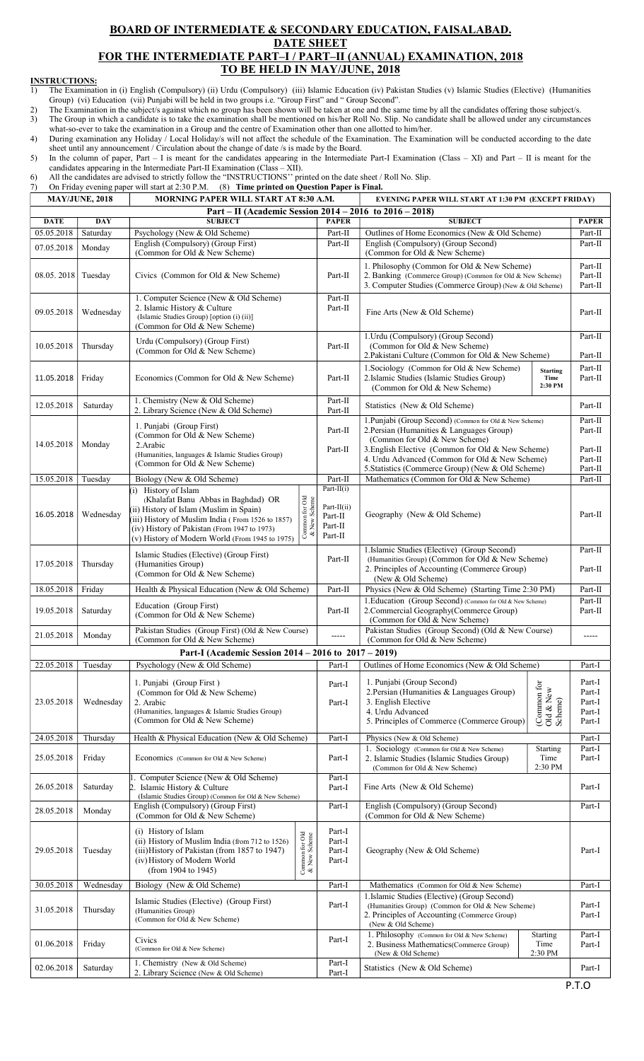## BOARD OF INTERMEDIATE & SECONDARY EDUCATION, FAISALABAD. DATE SHEET FOR THE INTERMEDIATE PART–I / PART–II (ANNUAL) EXAMINATION, 2018 TO BE HELD IN MAY/JUNE, 2018

## **INSTRUCTIONS:**<br>1) The Examinat

- 1) The Examination in (i) English (Compulsory) (ii) Urdu (Compulsory) (iii) Islamic Education (iv) Pakistan Studies (v) Islamic Studies (Elective) (Humanities Group) (vi) Education (vii) Punjabi will be held in two groups i.e. "Group First" and " Group Second".
- 2) The Examination in the subject/s against which no group has been shown will be taken at one and the same time by all the candidates offering those subject/s. 3) The Group in which a candidate is to take the examination shall be mentioned on his/her Roll No. Slip. No candidate shall be allowed under any circumstances
- what-so-ever to take the examination in a Group and the centre of Examination other than one allotted to him/her. 4) During examination any Holiday / Local Holiday/s will not affect the schedule of the Examination. The Examination will be conducted according to the date

sheet until any announcement / Circulation about the change of date /s is made by the Board.

 5) In the column of paper, Part – I is meant for the candidates appearing in the Intermediate Part-I Examination (Class – XI) and Part – II is meant for the candidates appearing in the Intermediate Part-II Examination (Class – XII).

6) All the candidates are advised to strictly follow the "INSTRUCTIONS'' printed on the date sheet / Roll No. Slip.

7) On Friday evening paper will start at 2:30 P.M. (8) Time printed on Question Paper is Final.

| <b>MAY/JUNE, 2018</b> |            | MORNING PAPER WILL START AT 8:30 A.M.                                      |                                |                    | EVENING PAPER WILL START AT 1:30 PM (EXCEPT FRIDAY)                                  |                       |                      |
|-----------------------|------------|----------------------------------------------------------------------------|--------------------------------|--------------------|--------------------------------------------------------------------------------------|-----------------------|----------------------|
|                       |            | Part – II (Academic Session 2014 – 2016 to 2016 – 2018)                    |                                |                    |                                                                                      |                       |                      |
| <b>DATE</b>           | <b>DAY</b> | <b>SUBJECT</b>                                                             |                                | <b>PAPER</b>       | <b>SUBJECT</b>                                                                       |                       | <b>PAPER</b>         |
| 05.05.2018            | Saturday   | Psychology (New & Old Scheme)<br>English (Compulsory) (Group First)        |                                | Part-II<br>Part-II | Outlines of Home Economics (New & Old Scheme)<br>English (Compulsory) (Group Second) |                       | Part-II<br>Part-II   |
| 07.05.2018            | Monday     | (Common for Old & New Scheme)                                              |                                |                    | (Common for Old & New Scheme)                                                        |                       |                      |
|                       |            |                                                                            |                                |                    | 1. Philosophy (Common for Old & New Scheme)                                          |                       | Part-II              |
| 08.05.2018            | Tuesday    | Civics (Common for Old & New Scheme)                                       |                                | Part-II            | 2. Banking (Commerce Group) (Common for Old & New Scheme)                            |                       | Part-II              |
|                       |            |                                                                            |                                |                    | 3. Computer Studies (Commerce Group) (New & Old Scheme)                              |                       | Part-II              |
|                       |            | 1. Computer Science (New & Old Scheme)                                     |                                | Part-II            |                                                                                      |                       |                      |
| 09.05.2018            | Wednesday  | 2. Islamic History & Culture                                               |                                | Part-II            | Fine Arts (New & Old Scheme)                                                         |                       | Part-II              |
|                       |            | (Islamic Studies Group) [option (i) (ii)]<br>(Common for Old & New Scheme) |                                |                    |                                                                                      |                       |                      |
|                       |            |                                                                            |                                |                    | 1. Urdu (Compulsory) (Group Second)                                                  |                       | Part-II              |
| 10.05.2018            | Thursday   | Urdu (Compulsory) (Group First)<br>(Common for Old & New Scheme)           |                                | Part-II            | (Common for Old & New Scheme)                                                        |                       |                      |
|                       |            |                                                                            |                                |                    | 2. Pakistani Culture (Common for Old & New Scheme)                                   |                       | Part-II              |
|                       |            |                                                                            |                                |                    | 1. Sociology (Common for Old & New Scheme)                                           | <b>Starting</b>       | Part-II              |
| 11.05.2018            | Friday     | Economics (Common for Old & New Scheme)                                    |                                | Part-II            | 2. Islamic Studies (Islamic Studies Group)                                           | Time                  | Part-II              |
|                       |            |                                                                            |                                |                    | (Common for Old & New Scheme)                                                        | 2:30 PM               |                      |
| 12.05.2018            | Saturday   | 1. Chemistry (New & Old Scheme)                                            |                                | Part-II            | Statistics (New & Old Scheme)                                                        |                       | Part-II              |
|                       |            | 2. Library Science (New & Old Scheme)                                      |                                | Part-II            |                                                                                      |                       |                      |
|                       |            | 1. Punjabi (Group First)                                                   |                                |                    | 1. Punjabi (Group Second) (Common for Old & New Scheme)                              |                       | Part-II              |
|                       |            | (Common for Old & New Scheme)                                              |                                | Part-II            | 2. Persian (Humanities & Languages Group)                                            |                       | Part-II              |
| 14.05.2018            | Monday     | 2. Arabic                                                                  |                                | Part-II            | (Common for Old & New Scheme)<br>3. English Elective (Common for Old & New Scheme)   |                       | Part-II              |
|                       |            | (Humanities, languages & Islamic Studies Group)                            |                                |                    | 4. Urdu Advanced (Common for Old & New Scheme)                                       |                       | Part-II              |
|                       |            | (Common for Old & New Scheme)                                              |                                |                    | 5. Statistics (Commerce Group) (New & Old Scheme)                                    |                       | Part-II              |
| 15.05.2018            | Tuesday    | Biology (New & Old Scheme)                                                 |                                | Part-II            | Mathematics (Common for Old & New Scheme)                                            |                       | Part-II              |
|                       |            | $(i)$ History of Islam                                                     |                                | Part- $II(i)$      |                                                                                      |                       |                      |
|                       |            | (Khalafat Banu Abbas in Baghdad) OR                                        |                                |                    |                                                                                      |                       |                      |
|                       |            | (ii) History of Islam (Muslim in Spain)                                    | Common for Old<br>& New Scheme | Part-II(ii)        |                                                                                      |                       |                      |
| 16.05.2018            | Wednesday  | (iii) History of Muslim India (From 1526 to 1857)                          |                                | Part-II            | Geography (New & Old Scheme)                                                         |                       | Part-II              |
|                       |            | (iv) History of Pakistan (From 1947 to 1973)                               |                                | Part-II            |                                                                                      |                       |                      |
|                       |            | (v) History of Modern World (From 1945 to 1975)                            |                                | Part-II            |                                                                                      |                       |                      |
|                       |            | Islamic Studies (Elective) (Group First)                                   |                                |                    | 1.Islamic Studies (Elective) (Group Second)                                          |                       | Part-II              |
| 17.05.2018            | Thursday   | (Humanities Group)                                                         |                                | Part-II            | (Humanities Group) (Common for Old & New Scheme)                                     |                       |                      |
|                       |            | (Common for Old & New Scheme)                                              |                                |                    | 2. Principles of Accounting (Commerce Group)                                         |                       | Part-II              |
|                       |            |                                                                            |                                |                    | (New & Old Scheme)                                                                   |                       |                      |
| 18.05.2018            | Friday     | Health & Physical Education (New & Old Scheme)                             |                                | Part-II            | Physics (New & Old Scheme) (Starting Time 2:30 PM)                                   |                       | $\rm Part\text{-}II$ |
|                       |            | Education (Group First)                                                    |                                |                    | 1. Education (Group Second) (Common for Old & New Scheme)                            |                       | Part-II              |
| 19.05.2018            | Saturday   | (Common for Old & New Scheme)                                              |                                | Part-II            | 2. Commercial Geography (Commerce Group)                                             |                       | Part-II              |
|                       |            | Pakistan Studies (Group First) (Old & New Course)                          |                                |                    | (Common for Old & New Scheme)<br>Pakistan Studies (Group Second) (Old & New Course)  |                       |                      |
| 21.05.2018            | Monday     | (Common for Old & New Scheme)                                              |                                | -----              | (Common for Old & New Scheme)                                                        |                       | -----                |
|                       |            | Part-I (Academic Session 2014 – 2016 to 2017 – 2019)                       |                                |                    |                                                                                      |                       |                      |
|                       |            |                                                                            |                                |                    |                                                                                      |                       |                      |
| 22.05.2018            | Tuesday    | Psychology (New & Old Scheme)                                              |                                | Part-I             | Outlines of Home Economics (New & Old Scheme)                                        |                       | Part-I               |
|                       |            | 1. Punjabi (Group First)                                                   |                                | Part-I             | 1. Punjabi (Group Second)                                                            |                       | Part-I               |
|                       |            | (Common for Old & New Scheme)                                              |                                |                    | 2. Persian (Humanities & Languages Group)                                            |                       | Part-I               |
| 23.05.2018            | Wednesday  | 2. Arabic                                                                  |                                | Part-I             | 3. English Elective                                                                  |                       | Part-I               |
|                       |            | (Humanities, languages & Islamic Studies Group)                            |                                |                    | 4. Urdu Advanced                                                                     | Scheme)               | Part-I               |
|                       |            | (Common for Old & New Scheme)                                              |                                |                    | 5. Principles of Commerce (Commerce Group)                                           | (Common for Old & New | Part-I               |
| 24.05.2018            | Thursday   | Health & Physical Education (New & Old Scheme)                             |                                | Part-I             | Physics (New & Old Scheme)                                                           |                       | Part-I               |
|                       |            |                                                                            |                                |                    | 1. Sociology (Common for Old & New Scheme)                                           | Starting              | Part-I               |
| 25.05.2018            | Friday     | Economics (Common for Old & New Scheme)                                    |                                | Part-I             | 2. Islamic Studies (Islamic Studies Group)                                           | Time                  | Part-I               |
|                       |            |                                                                            |                                |                    | (Common for Old & New Scheme)                                                        | 2:30 PM               |                      |
|                       |            | Computer Science (New & Old Scheme)                                        |                                | Part-I             |                                                                                      |                       |                      |
| 26.05.2018            | Saturday   | 2. Islamic History & Culture                                               |                                | Part-I             | Fine Arts (New & Old Scheme)                                                         |                       | Part-I               |
|                       |            | (Islamic Studies Group) (Common for Old & New Scheme)                      |                                |                    |                                                                                      |                       |                      |
| 28.05.2018            | Monday     | English (Compulsory) (Group First)                                         |                                | Part-I             | English (Compulsory) (Group Second)                                                  |                       | Part-I               |
|                       |            | (Common for Old & New Scheme)                                              |                                |                    | (Common for Old & New Scheme)                                                        |                       |                      |
|                       |            | (i) History of Islam                                                       |                                | Part-I             |                                                                                      |                       |                      |
|                       |            | (ii) History of Muslim India (from 712 to 1526)                            |                                | Part-I             |                                                                                      |                       |                      |
| 29.05.2018            | Tuesday    | (iii) History of Pakistan (from 1857 to 1947)                              |                                | Part-I             | Geography (New & Old Scheme)                                                         |                       | Part-I               |
|                       |            | (iv) History of Modern World                                               | Common for Old<br>& New Scheme | Part-I             |                                                                                      |                       |                      |
|                       |            | (from 1904 to 1945)                                                        |                                |                    |                                                                                      |                       |                      |
| 30.05.2018            | Wednesday  | Biology (New & Old Scheme)                                                 |                                | Part-I             | Mathematics (Common for Old & New Scheme)                                            |                       | Part-I               |
|                       |            |                                                                            |                                |                    | 1. Islamic Studies (Elective) (Group Second)                                         |                       |                      |
| 31.05.2018            | Thursday   | Islamic Studies (Elective) (Group First)<br>(Humanities Group)             |                                | Part-I             | (Humanities Group) (Common for Old & New Scheme)                                     |                       | Part-I               |
|                       |            | (Common for Old & New Scheme)                                              |                                |                    | 2. Principles of Accounting (Commerce Group)                                         |                       | Part-I               |
|                       |            |                                                                            |                                |                    | (New & Old Scheme)                                                                   |                       |                      |
|                       |            | Civics                                                                     |                                | Part-I             | 1. Philosophy (Common for Old & New Scheme)                                          | Starting              | Part-I               |
| 01.06.2018            | Friday     | (Common for Old & New Scheme)                                              |                                |                    | 2. Business Mathematics (Commerce Group)<br>(New & Old Scheme)                       | Time<br>2:30 PM       | Part-I               |
|                       |            | 1. Chemistry (New & Old Scheme)                                            |                                | Part-I             |                                                                                      |                       |                      |
| 02.06.2018            | Saturday   | 2. Library Science (New & Old Scheme)                                      |                                | Part-I             | Statistics (New & Old Scheme)                                                        |                       | Part-I               |
|                       |            |                                                                            |                                |                    |                                                                                      |                       |                      |